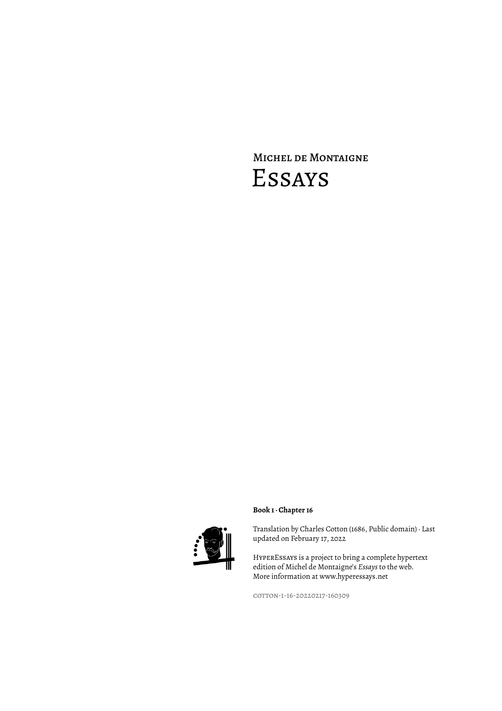# Michel de Montaigne Essays



### **Book 1 · Chapter 16**

Translation by Charles Cotton (1686, Public domain) · Last updated on February 17, 2022

HyperEssays is a project to bring a complete hypertext edition of Michel de Montaigne's *Essays* to the web. More information at www.hyperessays.net

cotton-1-16-20220217-160309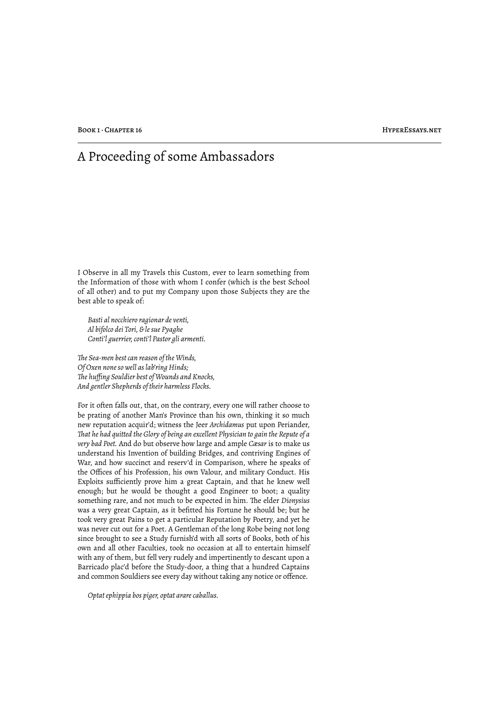## A Proceeding of some Ambassadors

I Observe in all my Travels this Custom, ever to learn something from the Information of those with whom I confer (which is the best School of all other) and to put my Company upon those Subjects they are the best able to speak of:

*Basti al nocchiero ragionar de venti, Al bifolco dei Tori, & le sue Pyaghe Conti'l guerrier, conti'l Pastor gli armenti.*

*!e Sea-men best can reason of the Winds, Of Oxen none so well as lab'ring Hinds; !e huffing Souldier best of Wounds and Knocks, And gentler Shepherds of their harmless Flocks.*

For it often falls out, that, on the contrary, every one will rather choose to be prating of another Man's Province than his own, thinking it so much new reputation acquir'd; witness the Jeer *Archidamus* put upon Periander, *!at he had quitted the Glory of being an excellent Physician to gain the Repute of a very bad Poet.* And do but observe how large and ample *Cæsar* is to make us understand his Invention of building Bridges, and contriving Engines of War, and how succinct and reserv'd in Comparison, where he speaks of the Offices of his Profession, his own Valour, and military Conduct. His Exploits sufficiently prove him a great Captain, and that he knew well enough; but he would be thought a good Engineer to boot; a quality something rare, and not much to be expected in him. The elder *Dionysius* was a very great Captain, as it befitted his Fortune he should be; but he took very great Pains to get a particular Reputation by Poetry, and yet he was never cut out for a Poet. A Gentleman of the long Robe being not long since brought to see a Study furnish'd with all sorts of Books, both of his own and all other Faculties, took no occasion at all to entertain himself with any of them, but fell very rudely and impertinently to descant upon a Barricado plac'd before the Study-door, a thing that a hundred Captains and common Souldiers see every day without taking any notice or offence.

*Optat ephippia bos piger, optat arare caballus.*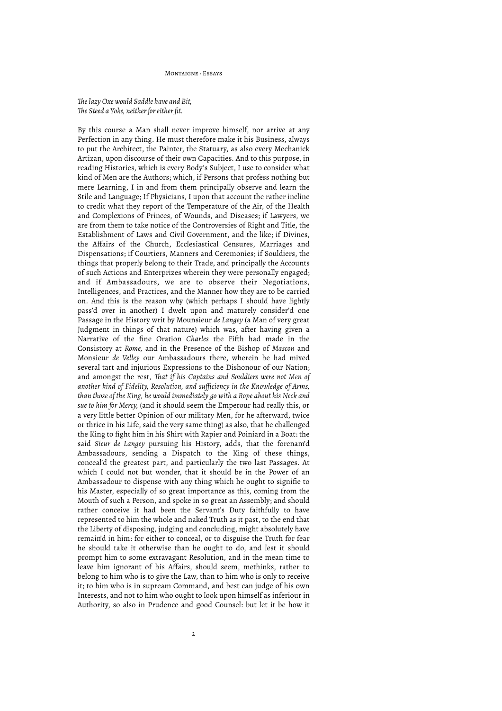#### Montaigne · Essays

#### *!e lazy Oxe would Saddle have and Bit, !e Steed a Yoke, neither for either fit.*

By this course a Man shall never improve himself, nor arrive at any Perfection in any thing. He must therefore make it his Business, always to put the Architect, the Painter, the Statuary, as also every Mechanick Artizan, upon discourse of their own Capacities. And to this purpose, in reading Histories, which is every Body's Subject, I use to consider what kind of Men are the Authors; which, if Persons that profess nothing but mere Learning, I in and from them principally observe and learn the Stile and Language; If Physicians, I upon that account the rather incline to credit what they report of the Temperature of the Air, of the Health and Complexions of Princes, of Wounds, and Diseases; if Lawyers, we are from them to take notice of the Controversies of Right and Title, the Establishment of Laws and Civil Government, and the like; if Divines, the Affairs of the Church, Ecclesiastical Censures, Marriages and Dispensations; if Courtiers, Manners and Ceremonies; if Souldiers, the things that properly belong to their Trade, and principally the Accounts of such Actions and Enterprizes wherein they were personally engaged; and if Ambassadours, we are to observe their Negotiations, Intelligences, and Practices, and the Manner how they are to be carried on. And this is the reason why (which perhaps I should have lightly pass'd over in another) I dwelt upon and maturely consider'd one Passage in the History writ by Mounsieur *de Langey* (a Man of very great Judgment in things of that nature) which was, after having given a Narrative of the fine Oration *Charles* the Fifth had made in the Consistory at *Rome,* and in the Presence of the Bishop of *Mascon* and Monsieur *de Velley* our Ambassadours there, wherein he had mixed several tart and injurious Expressions to the Dishonour of our Nation; and amongst the rest, *!at if his Captains and Souldiers were not Men of another kind of Fidelity, Resolution, and sufficiency in the Knowledge of Arms, than those of the King, he would immediately go with a Rope about his Neck and sue to him for Mercy,* (and it should seem the Emperour had really this, or a very little better Opinion of our military Men, for he afterward, twice or thrice in his Life, said the very same thing) as also, that he challenged the King to fight him in his Shirt with Rapier and Poiniard in a Boat: the said *Sieur de Langey* pursuing his History, adds, that the forenam'd Ambassadours, sending a Dispatch to the King of these things, conceal'd the greatest part, and particularly the two last Passages. At which I could not but wonder, that it should be in the Power of an Ambassadour to dispense with any thing which he ought to signifie to his Master, especially of so great importance as this, coming from the Mouth of such a Person, and spoke in so great an Assembly; and should rather conceive it had been the Servant's Duty faithfully to have represented to him the whole and naked Truth as it past, to the end that the Liberty of disposing, judging and concluding, might absolutely have remain'd in him: for either to conceal, or to disguise the Truth for fear he should take it otherwise than he ought to do, and lest it should prompt him to some extravagant Resolution, and in the mean time to leave him ignorant of his Affairs, should seem, methinks, rather to belong to him who is to give the Law, than to him who is only to receive it; to him who is in supream Command, and best can judge of his own Interests, and not to him who ought to look upon himself as inferiour in Authority, so also in Prudence and good Counsel: but let it be how it